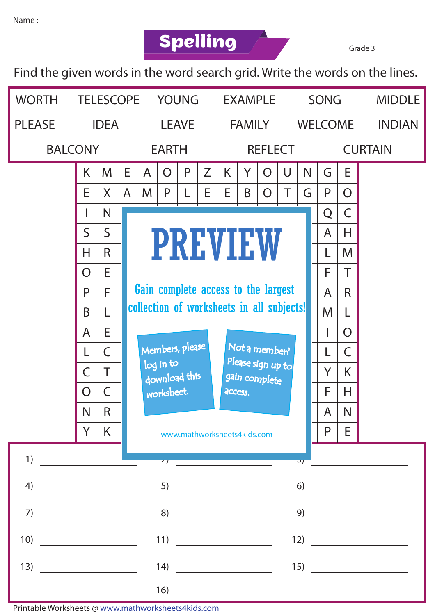## **Spelling** Grade 3

Find the given words in the word search grid. Write the words on the lines.



Printable Worksheets @ www.mathworksheets4kids.com